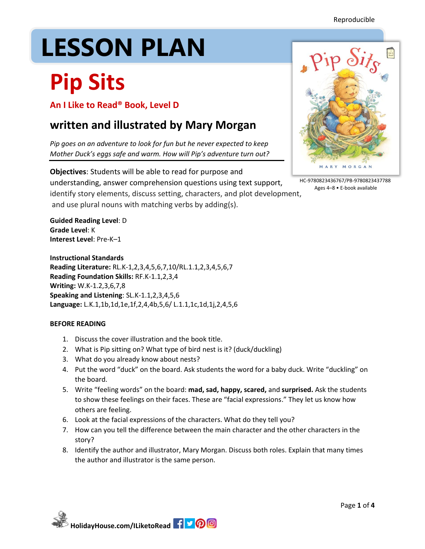Reproducible

# LESSON PLAN

## **Pip Sits**

**An I Like to Read® Book, Level D**

### **written and illustrated by Mary Morgan**

*Pip goes on an adventure to look for fun but he never expected to keep Mother Duck's eggs safe and warm. How will Pip's adventure turn out?*

**Objectives**: Students will be able to read for purpose and understanding, answer comprehension questions using text support, identify story elements, discuss setting, characters, and plot development, and use plural nouns with matching verbs by adding(s).

**Guided Reading Level**: D **Grade Level**: K **Interest Level**: Pre-K–1

**Instructional Standards Reading Literature:** RL.K-1,2,3,4,5,6,7,10/RL.1.1,2,3,4,5,6,7 **Reading Foundation Skills:** RF.K-1.1,2,3,4 **Writing:** W.K-1.2,3,6,7,8 **Speaking and Listening**: SL.K-1.1,2,3,4,5,6 **Language:** L.K.1,1b,1d,1e,1f,2,4,4b,5,6/ L.1.1,1c,1d,1j,2,4,5,6

#### **BEFORE READING**

- 1. Discuss the cover illustration and the book title.
- 2. What is Pip sitting on? What type of bird nest is it? (duck/duckling)
- 3. What do you already know about nests?
- 4. Put the word "duck" on the board. Ask students the word for a baby duck. Write "duckling" on the board.
- 5. Write "feeling words" on the board: **mad, sad, happy, scared,** and **surprised.** Ask the students to show these feelings on their faces. These are "facial expressions." They let us know how others are feeling.
- 6. Look at the facial expressions of the characters. What do they tell you?
- 7. How can you tell the difference between the main character and the other characters in the story?
- 8. Identify the author and illustrator, Mary Morgan. Discuss both roles. Explain that many times the author and illustrator is the same person.



HC-9780823436767/PB-9780823437788 Ages 4–8 • E-book available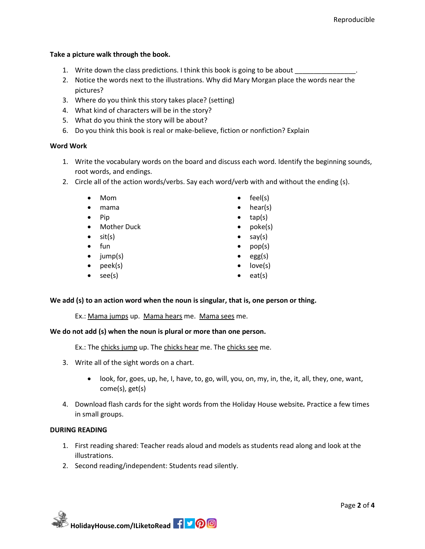#### **Take a picture walk through the book.**

- 1. Write down the class predictions. I think this book is going to be about
- 2. Notice the words next to the illustrations. Why did Mary Morgan place the words near the pictures?
- 3. Where do you think this story takes place? (setting)
- 4. What kind of characters will be in the story?
- 5. What do you think the story will be about?
- 6. Do you think this book is real or make-believe, fiction or nonfiction? Explain

#### **Word Work**

1. Write the vocabulary words on the board and discuss each word. Identify the beginning sounds, root words, and endings.

> feel(s) hear(s) tap(s) poke(s) say(s) pop(s) egg(s) love(s) eat(s)

- 2. Circle all of the action words/verbs. Say each word/verb with and without the ending (s).
	- Mom
	- mama
	- $\bullet$  Pip
	- Mother Duck
	- $\bullet$  sit(s)
	- $\bullet$  fun
	- $\bullet$  jump(s)
	- $\bullet$  peek(s)
	- $\bullet$  see(s)
- We add (s) to an action word when the noun is singular, that is, one person or thing.

Ex.: Mama jumps up. Mama hears me. Mama sees me.

#### **We do not add (s) when the noun is plural or more than one person.**

Ex.: The chicks jump up. The chicks hear me. The chicks see me.

- 3. Write all of the sight words on a chart.
	- look, for, goes, up, he, I, have, to, go, will, you, on, my, in, the, it, all, they, one, want, come(s), get(s)
- 4. Download flash cards for the sight words from the Holiday House website*.* Practice a few times in small groups.

#### **DURING READING**

- 1. First reading shared: Teacher reads aloud and models as students read along and look at the illustrations.
- 2. Second reading/independent: Students read silently.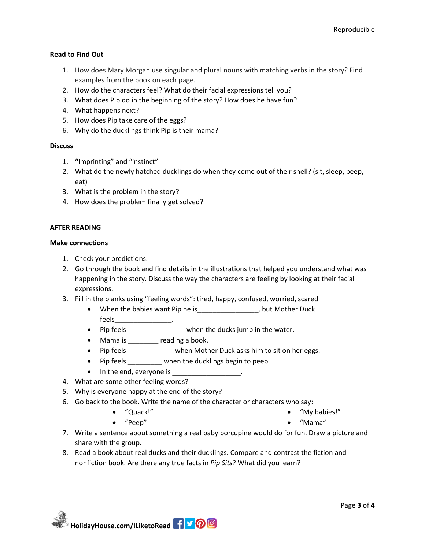#### **Read to Find Out**

- 1. How does Mary Morgan use singular and plural nouns with matching verbs in the story? Find examples from the book on each page.
- 2. How do the characters feel? What do their facial expressions tell you?
- 3. What does Pip do in the beginning of the story? How does he have fun?
- 4. What happens next?
- 5. How does Pip take care of the eggs?
- 6. Why do the ducklings think Pip is their mama?

#### **Discuss**

- 1. **"**Imprinting" and "instinct"
- 2. What do the newly hatched ducklings do when they come out of their shell? (sit, sleep, peep, eat)
- 3. What is the problem in the story?
- 4. How does the problem finally get solved?

#### **AFTER READING**

#### **Make connections**

- 1. Check your predictions.
- 2. Go through the book and find details in the illustrations that helped you understand what was happening in the story. Discuss the way the characters are feeling by looking at their facial expressions.
- 3. Fill in the blanks using "feeling words": tired, happy, confused, worried, scared
	- When the babies want Pip he is \_\_\_\_\_\_\_\_\_\_\_\_\_\_, but Mother Duck feels\_\_\_\_\_\_\_\_\_\_\_\_\_\_\_.
	- Pip feels \_\_\_\_\_\_\_\_\_\_\_\_\_\_\_\_ when the ducks jump in the water.
	- Mama is \_\_\_\_\_\_\_ reading a book.
	- Pip feels **being when Mother Duck asks him to sit on her eggs.**
	- Pip feels \_\_\_\_\_\_\_\_ when the ducklings begin to peep.
	- $\bullet$  In the end, everyone is
- 4. What are some other feeling words?

"Quack!"

- 5. Why is everyone happy at the end of the story?
- 6. Go back to the book. Write the name of the character or characters who say:
	- "My babies!"

"Peep"

- "Mama"
- 7. Write a sentence about something a real baby porcupine would do for fun. Draw a picture and share with the group.
- 8. Read a book about real ducks and their ducklings. Compare and contrast the fiction and nonfiction book. Are there any true facts in *Pip Sits*? What did you learn?